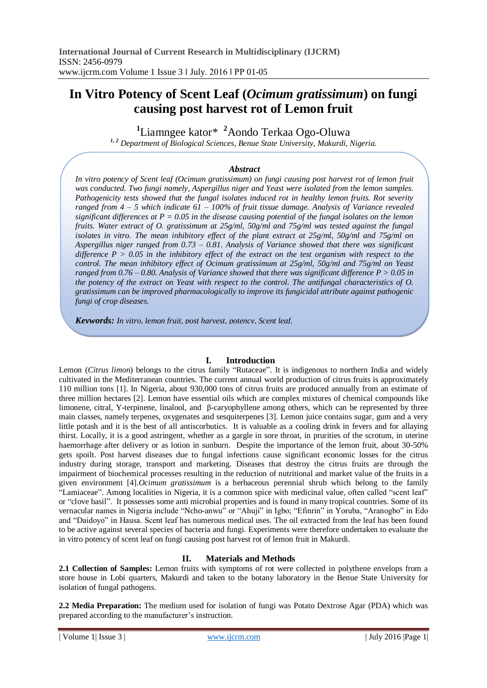# **In Vitro Potency of Scent Leaf (***Ocimum gratissimum***) on fungi causing post harvest rot of Lemon fruit**

**1** Liamngee kator\* **<sup>2</sup>**Aondo Terkaa Ogo-Oluwa

*1, 2 Department of Biological Sciences, Benue State University, Makurdi, Nigeria.*

### *Abstract*

*In vitro potency of Scent leaf (Ocimum gratissimum) on fungi causing post harvest rot of lemon fruit was conducted. Two fungi namely, Aspergillus niger and Yeast were isolated from the lemon samples. Pathogenicity tests showed that the fungal isolates induced rot in healthy lemon fruits. Rot severity ranged from 4 – 5 which indicate 61 – 100% of fruit tissue damage. Analysis of Variance revealed significant differences at P = 0.05 in the disease causing potential of the fungal isolates on the lemon fruits. Water extract of O. gratissimum at 25g/ml, 50g/ml and 75g/ml was tested against the fungal isolates in vitro. The mean inhibitory effect of the plant extract at 25g/ml, 50g/ml and 75g/ml on Aspergillus niger ranged from 0.73 – 0.81. Analysis of Variance showed that there was significant difference P > 0.05 in the inhibitory effect of the extract on the test organism with respect to the control. The mean inhibitory effect of Ocimum gratissimum at 25g/ml, 50g/ml and 75g/ml on Yeast ranged from 0.76 – 0.80. Analysis of Variance showed that there was significant difference P > 0.05 in the potency of the extract on Yeast with respect to the control. The antifungal characteristics of O. gratissimum can be improved pharmacologically to improve its fungicidal attribute against pathogenic fungi of crop diseases.*

*Keywords: In vitro, lemon fruit, post harvest, potency, Scent leaf.*

### **I. Introduction**

Lemon (*Citrus limon*) belongs to the citrus family "Rutaceae". It is indigenous to northern India and widely cultivated in the Mediterranean countries. The current annual world production of citrus fruits is approximately 110 million tons [1]. In Nigeria, about 930,000 tons of citrus fruits are produced annually from an estimate of three million hectares [2]. Lemon have essential oils which are complex mixtures of chemical compounds like limonene, citral, Y-terpinene, linalool, and β-caryophyllene among others, which can be represented by three main classes, namely terpenes, oxygenates and sesquiterpenes [3]. Lemon juice contains sugar, gum and a very little potash and it is the best of all antiscorbutics. It is valuable as a cooling drink in fevers and for allaying thirst. Locally, it is a good astringent, whether as a gargle in sore throat, in prurities of the scrotum, in uterine haemorrhage after delivery or as lotion in sunburn. Despite the importance of the lemon fruit, about 30-50% gets spoilt. Post harvest diseases due to fungal infections cause significant economic losses for the citrus industry during storage, transport and marketing. Diseases that destroy the citrus fruits are through the impairment of biochemical processes resulting in the reduction of nutritional and market value of the fruits in a given environment [4].*Ocimum gratissimum* is a herbaceous perennial shrub which belong to the family "Lamiaceae". Among localities in Nigeria, it is a common spice with medicinal value, often called "scent leaf" or "clove basil". It possesses some anti microbial properties and is found in many tropical countries. Some of its vernacular names in Nigeria include "Ncho-anwu" or "Ahuji" in Igbo; "Efinrin" in Yoruba, "Aranogbo" in Edo and "Daidoyo" in Hausa. Scent leaf has numerous medical uses. The oil extracted from the leaf has been found to be active against several species of bacteria and fungi. Experiments were therefore undertaken to evaluate the in vitro potency of scent leaf on fungi causing post harvest rot of lemon fruit in Makurdi.

# **II. Materials and Methods**

**2.1 Collection of Samples:** Lemon fruits with symptoms of rot were collected in polythene envelops from a store house in Lobi quarters, Makurdi and taken to the botany laboratory in the Benue State University for isolation of fungal pathogens.

**2.2 Media Preparation:** The medium used for isolation of fungi was Potato Dextrose Agar (PDA) which was prepared according to the manufacturer's instruction.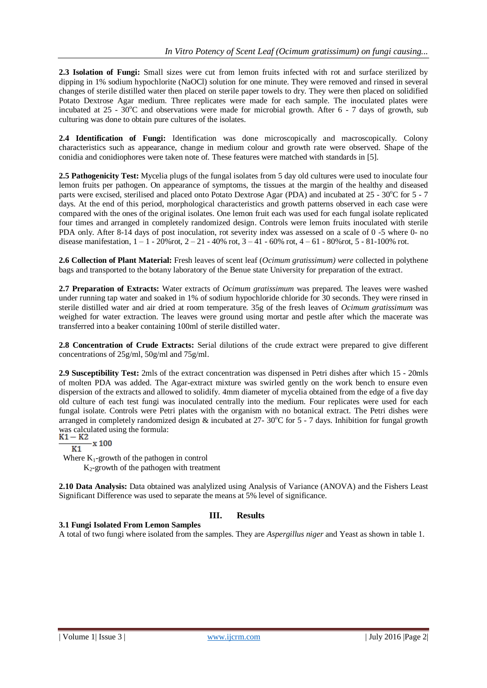**2.3 Isolation of Fungi:** Small sizes were cut from lemon fruits infected with rot and surface sterilized by dipping in 1% sodium hypochlorite (NaOCl) solution for one minute. They were removed and rinsed in several changes of sterile distilled water then placed on sterile paper towels to dry. They were then placed on solidified Potato Dextrose Agar medium. Three replicates were made for each sample. The inoculated plates were incubated at  $25 - 30^{\circ}\text{C}$  and observations were made for microbial growth. After 6 - 7 days of growth, sub culturing was done to obtain pure cultures of the isolates.

**2.4 Identification of Fungi:** Identification was done microscopically and macroscopically. Colony characteristics such as appearance, change in medium colour and growth rate were observed. Shape of the conidia and conidiophores were taken note of. These features were matched with standards in [5].

**2.5 Pathogenicity Test:** Mycelia plugs of the fungal isolates from 5 day old cultures were used to inoculate four lemon fruits per pathogen. On appearance of symptoms, the tissues at the margin of the healthy and diseased parts were excised, sterilised and placed onto Potato Dextrose Agar (PDA) and incubated at  $25 - 30^{\circ}$ C for  $5 - 7$ days. At the end of this period, morphological characteristics and growth patterns observed in each case were compared with the ones of the original isolates. One lemon fruit each was used for each fungal isolate replicated four times and arranged in completely randomized design. Controls were lemon fruits inoculated with sterile PDA only. After 8-14 days of post inoculation, rot severity index was assessed on a scale of 0 -5 where 0- no disease manifestation, 1 – 1 - 20%rot, 2 – 21 - 40% rot, 3 – 41 - 60% rot, 4 – 61 - 80%rot, 5 - 81-100% rot.

**2.6 Collection of Plant Material:** Fresh leaves of scent leaf (*Ocimum gratissimum) were* collected in polythene bags and transported to the botany laboratory of the Benue state University for preparation of the extract.

**2.7 Preparation of Extracts:** Water extracts of *Ocimum gratissimum* was prepared. The leaves were washed under running tap water and soaked in 1% of sodium hypochloride chloride for 30 seconds. They were rinsed in sterile distilled water and air dried at room temperature. 35g of the fresh leaves of *Ocimum gratissimum* was weighed for water extraction. The leaves were ground using mortar and pestle after which the macerate was transferred into a beaker containing 100ml of sterile distilled water.

**2.8 Concentration of Crude Extracts:** Serial dilutions of the crude extract were prepared to give different concentrations of 25g/ml, 50g/ml and 75g/ml.

**2.9 Susceptibility Test:** 2mls of the extract concentration was dispensed in Petri dishes after which 15 - 20mls of molten PDA was added. The Agar-extract mixture was swirled gently on the work bench to ensure even dispersion of the extracts and allowed to solidify. 4mm diameter of mycelia obtained from the edge of a five day old culture of each test fungi was inoculated centrally into the medium. Four replicates were used for each fungal isolate. Controls were Petri plates with the organism with no botanical extract. The Petri dishes were arranged in completely randomized design  $&$  incubated at 27- 30°C for 5 - 7 days. Inhibition for fungal growth was calculated using the formula:<br> $K1 - K2$ 

# $\mathbf{x}$  100

 $K1$ Where  $K_1$ -growth of the pathogen in control  $K_2$ -growth of the pathogen with treatment

**3.1 Fungi Isolated From Lemon Samples**

**2.10 Data Analysis:** Data obtained was analylized using Analysis of Variance (ANOVA) and the Fishers Least Significant Difference was used to separate the means at 5% level of significance.

# **III. Results**

A total of two fungi where isolated from the samples. They are *Aspergillus niger* and Yeast as shown in table 1.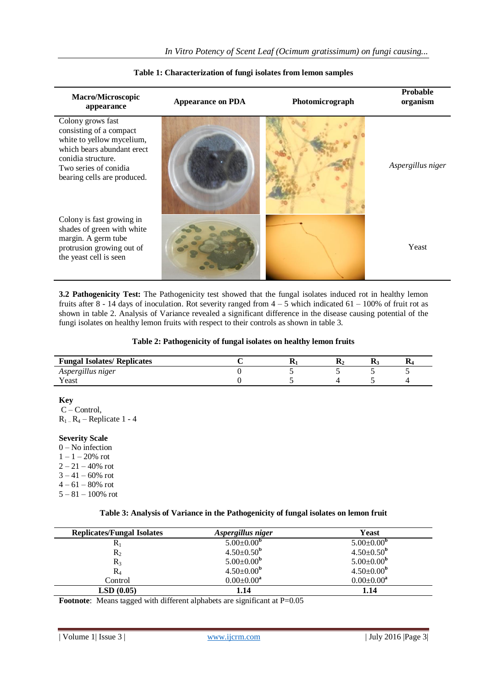| <b>Macro/Microscopic</b><br>appearance                                                                                                                                                | <b>Appearance on PDA</b> |  | <b>Probable</b><br>organism |  |
|---------------------------------------------------------------------------------------------------------------------------------------------------------------------------------------|--------------------------|--|-----------------------------|--|
| Colony grows fast<br>consisting of a compact<br>white to yellow mycelium,<br>which bears abundant erect<br>conidia structure.<br>Two series of conidia<br>bearing cells are produced. |                          |  | Aspergillus niger           |  |
| Colony is fast growing in<br>shades of green with white<br>margin. A germ tube<br>protrusion growing out of<br>the yeast cell is seen                                                 |                          |  | Yeast                       |  |

#### **Table 1: Characterization of fungi isolates from lemon samples**

**3.2 Pathogenicity Test:** The Pathogenicity test showed that the fungal isolates induced rot in healthy lemon fruits after 8 - 14 days of inoculation. Rot severity ranged from  $4 - 5$  which indicated  $61 - 100\%$  of fruit rot as shown in table 2. Analysis of Variance revealed a significant difference in the disease causing potential of the fungi isolates on healthy lemon fruits with respect to their controls as shown in table 3.

#### **Table 2: Pathogenicity of fungal isolates on healthy lemon fruits**

| <b>Fungal Isolates/ Replicates</b> |  |  | v |
|------------------------------------|--|--|---|
| Aspergillus niger                  |  |  |   |
| Yeast                              |  |  |   |

### **Key**

C – Control,  $R_1 - R_4$  – Replicate 1 - 4

#### **Severity Scale**

 $0 - No$  infection  $1 - 1 - 20\%$  rot  $2 - 21 - 40\%$  rot  $3 - 41 - 60\%$  rot  $4 - 61 - 80\%$  rot  $5 - 81 - 100\%$  rot

#### **Table 3: Analysis of Variance in the Pathogenicity of fungal isolates on lemon fruit**

| <b>Replicates/Fungal Isolates</b> | Aspergillus niger            | Yeast                      |
|-----------------------------------|------------------------------|----------------------------|
| $R_1$                             | $5.00 \pm 0.00$ <sup>b</sup> | $5.00 \pm 0.00^{\rm b}$    |
| $R_2$                             | $4.50 \pm 0.50^{\rm b}$      | $4.50\pm0.50^{\mathrm{b}}$ |
| $R_3$                             | $5.00 \pm 0.00^{\rm b}$      | $5.00 \pm 0.00^{\rm b}$    |
| $R_4$                             | $4.50 \pm 0.00^{\rm b}$      | $4.50 \pm 0.00^{\rm b}$    |
| Control                           | $0.00 \pm 0.00^a$            | $0.00 \pm 0.00^a$          |
| LSD(0.05)                         | 1.14                         | 1.14                       |

**Footnote**: Means tagged with different alphabets are significant at P=0.05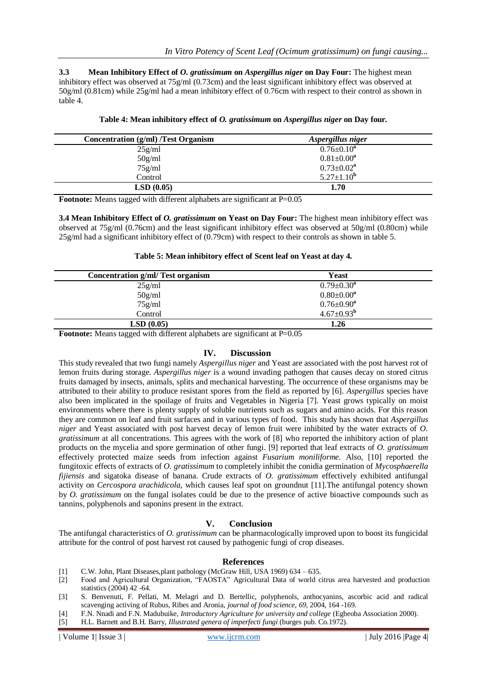**3.3 Mean Inhibitory Effect of** *O. gratissimum* **on** *Aspergillus niger* **on Day Four:** The highest mean inhibitory effect was observed at 75g/ml (0.73cm) and the least significant inhibitory effect was observed at 50g/ml (0.81cm) while 25g/ml had a mean inhibitory effect of 0.76cm with respect to their control as shown in table 4.

| <b>Concentration (g/ml) /Test Organism</b> | Aspergillus niger |  |  |
|--------------------------------------------|-------------------|--|--|
| 25g/ml                                     | $0.76 \pm 0.10^a$ |  |  |
| 50g/ml                                     | $0.81 \pm 0.00^a$ |  |  |
| $75$ g/ml                                  | $0.73 \pm 0.02^a$ |  |  |
| Control                                    | $5.27 \pm 1.10^b$ |  |  |
| LSD(0.05)                                  | 1.70              |  |  |

| Table 4: Mean inhibitory effect of O. gratissimum on Aspergillus niger on Day four. |  |  |  |
|-------------------------------------------------------------------------------------|--|--|--|
|                                                                                     |  |  |  |

**Footnote:** Means tagged with different alphabets are significant at P=0.05

**3.4 Mean Inhibitory Effect of** *O. gratissimum* **on Yeast on Day Four:** The highest mean inhibitory effect was observed at 75g/ml (0.76cm) and the least significant inhibitory effect was observed at 50g/ml (0.80cm) while 25g/ml had a significant inhibitory effect of (0.79cm) with respect to their controls as shown in table 5.

### **Table 5: Mean inhibitory effect of Scent leaf on Yeast at day 4.**

| Concentration g/ml/ Test organism | Yeast                   |
|-----------------------------------|-------------------------|
| 25g/ml                            | $0.79 \pm 0.30^a$       |
| 50g/ml                            | $0.80 \pm 0.00^a$       |
| 75g/ml                            | $0.76 \pm 0.90^a$       |
| Control                           | $4.67 \pm 0.93^{\rm b}$ |
| LSD(0.05)                         | 1.26                    |

**Footnote:** Means tagged with different alphabets are significant at P=0.05

## **IV. Discussion**

This study revealed that two fungi namely *Aspergillus niger* and Yeast are associated with the post harvest rot of lemon fruits during storage. *Aspergillus niger* is a wound invading pathogen that causes decay on stored citrus fruits damaged by insects, animals, splits and mechanical harvesting. The occurrence of these organisms may be attributed to their ability to produce resistant spores from the field as reported by [6]. *Aspergillus* species have also been implicated in the spoilage of fruits and Vegetables in Nigeria [7]. Yeast grows typically on moist environments where there is plenty supply of soluble nutrients such as sugars and amino acids. For this reason they are common on leaf and fruit surfaces and in various types of food. This study has shown that *Aspergillus niger* and Yeast associated with post harvest decay of lemon fruit were inhibited by the water extracts of *O. gratissimum* at all concentrations. This agrees with the work of [8] who reported the inhibitory action of plant products on the mycelia and spore germination of other fungi. [9] reported that leaf extracts of *O. gratissimum* effectively protected maize seeds from infection against *Fusarium moniliforme.* Also, [10] reported the fungitoxic effects of extracts of *O. gratissimum* to completely inhibit the conidia germination of *Mycosphaerella fijiensis* and sigatoka disease of banana. Crude extracts of *O. gratissimum* effectively exhibited antifungal activity on *Cercospora arachidicola,* which causes leaf spot on groundnut [11].The antifungal potency shown by *O. gratissimum* on the fungal isolates could be due to the presence of active bioactive compounds such as tannins, polyphenols and saponins present in the extract.

### **V. Conclusion**

The antifungal characteristics of *O. gratissimum* can be pharmacologically improved upon to boost its fungicidal attribute for the control of post harvest rot caused by pathogenic fungi of crop diseases.

#### **References**

- [1] C.W. John, Plant Diseases,plant pathology (McGraw Hill, USA 1969) 634 635.
- [2]Food and Agricultural Organization, "FAOSTA" Agricultural Data of world citrus area harvested and production statistics (2004) 42 -64.
- [3] S. Benvenuti, F. Pellati, M. Melagri and D. Bertellic, polyphenols, anthocyanins, ascorbic acid and radical scavenging activing of Rubus, Ribes and Aronia, *journal of food science, 69*, 2004, 164 -169.
- [4] F.N. Nnadi and F.N. Madubuike, *Introductory Agriculture for university and college* (Egbeoba Association 2000).
- [5] H.L. Barnett and B.H. Barry, *Illustrated genera of imperfecti fungi* (burges pub. Co.1972).

| Volume 1| Issue 3 | www.ijcrm.com | July 2016 |Page 4|